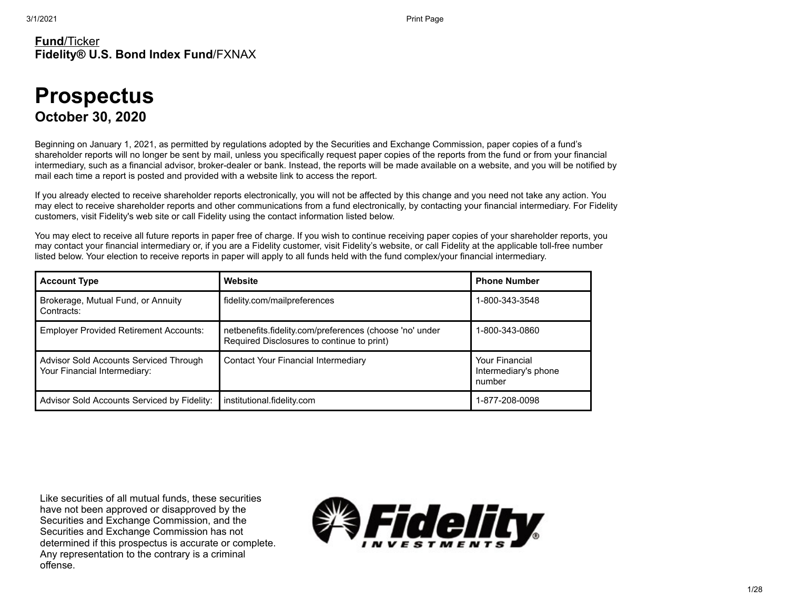### **Fund**/Ticker **Fidelity® U.S. Bond Index Fund**/FXNAX

# **Prospectus October 30, 2020**

Beginning on January 1, 2021, as permitted by regulations adopted by the Securities and Exchange Commission, paper copies of a fund's shareholder reports will no longer be sent by mail, unless you specifically request paper copies of the reports from the fund or from your financial intermediary, such as a financial advisor, broker-dealer or bank. Instead, the reports will be made available on a website, and you will be notified by mail each time a report is posted and provided with a website link to access the report.

If you already elected to receive shareholder reports electronically, you will not be affected by this change and you need not take any action. You may elect to receive shareholder reports and other communications from a fund electronically, by contacting your financial intermediary. For Fidelity customers, visit Fidelity's web site or call Fidelity using the contact information listed below.

You may elect to receive all future reports in paper free of charge. If you wish to continue receiving paper copies of your shareholder reports, you may contact your financial intermediary or, if you are a Fidelity customer, visit Fidelity's website, or call Fidelity at the applicable toll-free number listed below. Your election to receive reports in paper will apply to all funds held with the fund complex/your financial intermediary.

| <b>Account Type</b>                                                    | Website                                                                                               | <b>Phone Number</b>                                     |
|------------------------------------------------------------------------|-------------------------------------------------------------------------------------------------------|---------------------------------------------------------|
| Brokerage, Mutual Fund, or Annuity<br>Contracts:                       | fidelity.com/mailpreferences                                                                          | 1-800-343-3548                                          |
| <b>Employer Provided Retirement Accounts:</b>                          | netbenefits.fidelity.com/preferences (choose 'no' under<br>Required Disclosures to continue to print) | 1-800-343-0860                                          |
| Advisor Sold Accounts Serviced Through<br>Your Financial Intermediary: | Contact Your Financial Intermediary                                                                   | <b>Your Financial</b><br>Intermediary's phone<br>number |
| Advisor Sold Accounts Serviced by Fidelity:                            | institutional.fidelity.com                                                                            | 1-877-208-0098                                          |

Like securities of all mutual funds, these securities have not been approved or disapproved by the Securities and Exchange Commission, and the Securities and Exchange Commission has not determined if this prospectus is accurate or complete. Any representation to the contrary is a criminal offense.

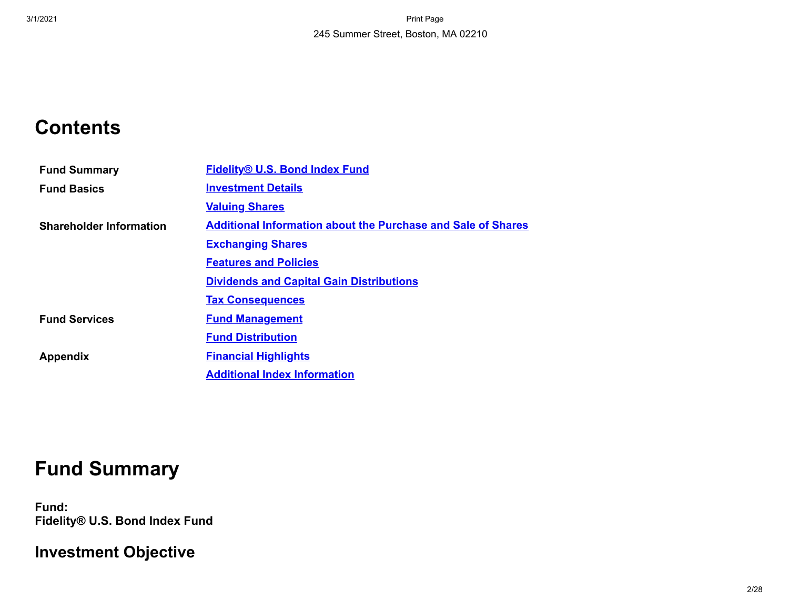# **Contents**

| <b>Fund Summary</b>            | <b>Fidelity® U.S. Bond Index Fund</b>                               |
|--------------------------------|---------------------------------------------------------------------|
| <b>Fund Basics</b>             | <b>Investment Details</b>                                           |
|                                | <b>Valuing Shares</b>                                               |
| <b>Shareholder Information</b> | <b>Additional Information about the Purchase and Sale of Shares</b> |
|                                | <b>Exchanging Shares</b>                                            |
|                                | <b>Features and Policies</b>                                        |
|                                | <b>Dividends and Capital Gain Distributions</b>                     |
|                                | <b>Tax Consequences</b>                                             |
| <b>Fund Services</b>           | <b>Fund Management</b>                                              |
|                                | <b>Fund Distribution</b>                                            |
| <b>Appendix</b>                | <b>Financial Highlights</b>                                         |
|                                | <b>Additional Index Information</b>                                 |

# **Fund Summary**

<span id="page-1-0"></span>**Fund: Fidelity® U.S. Bond Index Fund**

**Investment Objective**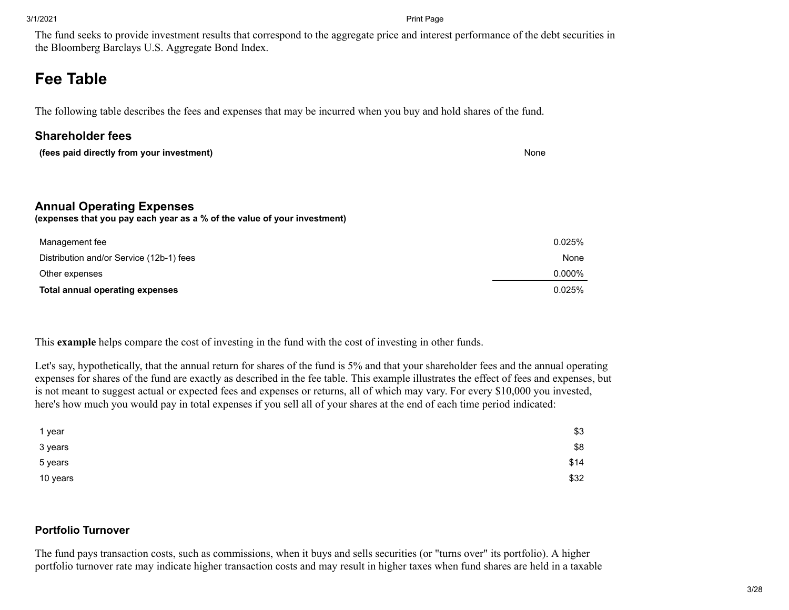The fund seeks to provide investment results that correspond to the aggregate price and interest performance of the debt securities in the Bloomberg Barclays U.S. Aggregate Bond Index.

# **Fee Table**

The following table describes the fees and expenses that may be incurred when you buy and hold shares of the fund.

### **Shareholder fees**

**(fees paid directly from your investment)** None

### **Annual Operating Expenses**

**(expenses that you pay each year as a % of the value of your investment)**

| Management fee                           | 0.025% |
|------------------------------------------|--------|
| Distribution and/or Service (12b-1) fees | None   |
| Other expenses                           | 0.000% |
| Total annual operating expenses          | 0.025% |

This **example** helps compare the cost of investing in the fund with the cost of investing in other funds.

Let's say, hypothetically, that the annual return for shares of the fund is 5% and that your shareholder fees and the annual operating expenses for shares of the fund are exactly as described in the fee table. This example illustrates the effect of fees and expenses, but is not meant to suggest actual or expected fees and expenses or returns, all of which may vary. For every \$10,000 you invested, here's how much you would pay in total expenses if you sell all of your shares at the end of each time period indicated:

| 1 year   | \$3  |
|----------|------|
| 3 years  | \$8  |
| 5 years  | \$14 |
| 10 years | \$32 |

### **Portfolio Turnover**

The fund pays transaction costs, such as commissions, when it buys and sells securities (or "turns over" its portfolio). A higher portfolio turnover rate may indicate higher transaction costs and may result in higher taxes when fund shares are held in a taxable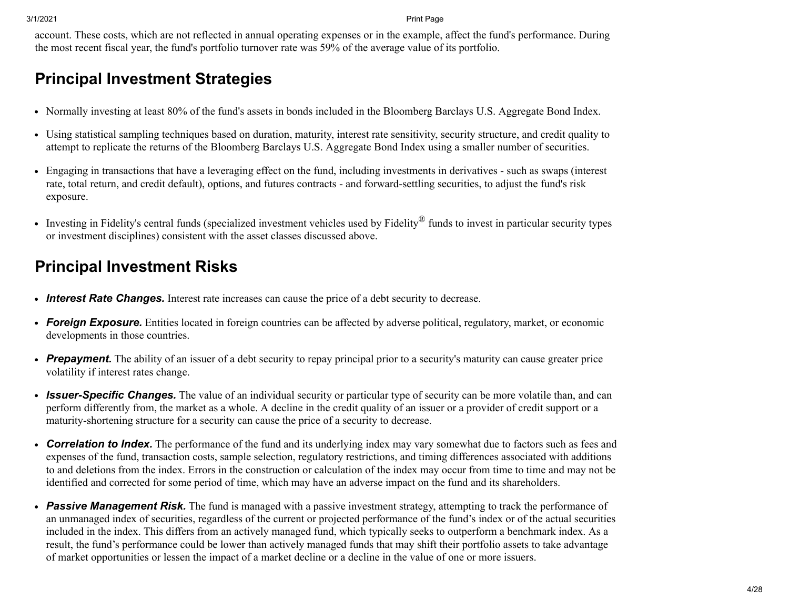account. These costs, which are not reflected in annual operating expenses or in the example, affect the fund's performance. During the most recent fiscal year, the fund's portfolio turnover rate was 59% of the average value of its portfolio.

# **Principal Investment Strategies**

- Normally investing at least 80% of the fund's assets in bonds included in the Bloomberg Barclays U.S. Aggregate Bond Index.
- Using statistical sampling techniques based on duration, maturity, interest rate sensitivity, security structure, and credit quality to attempt to replicate the returns of the Bloomberg Barclays U.S. Aggregate Bond Index using a smaller number of securities.
- Engaging in transactions that have a leveraging effect on the fund, including investments in derivatives such as swaps (interest rate, total return, and credit default), options, and futures contracts - and forward-settling securities, to adjust the fund's risk exposure.
- Investing in Fidelity's central funds (specialized investment vehicles used by Fidelity® funds to invest in particular security types or investment disciplines) consistent with the asset classes discussed above.

# **Principal Investment Risks**

- *Interest Rate Changes.* Interest rate increases can cause the price of a debt security to decrease.
- *Foreign Exposure.* Entities located in foreign countries can be affected by adverse political, regulatory, market, or economic developments in those countries.
- Prepayment. The ability of an issuer of a debt security to repay principal prior to a security's maturity can cause greater price volatility if interest rates change.
- *Issuer-Specific Changes.* The value of an individual security or particular type of security can be more volatile than, and can perform differently from, the market as a whole. A decline in the credit quality of an issuer or a provider of credit support or a maturity-shortening structure for a security can cause the price of a security to decrease.
- *Correlation to Index.* The performance of the fund and its underlying index may vary somewhat due to factors such as fees and expenses of the fund, transaction costs, sample selection, regulatory restrictions, and timing differences associated with additions to and deletions from the index. Errors in the construction or calculation of the index may occur from time to time and may not be identified and corrected for some period of time, which may have an adverse impact on the fund and its shareholders.
- *Passive Management Risk.* The fund is managed with a passive investment strategy, attempting to track the performance of an unmanaged index of securities, regardless of the current or projected performance of the fund's index or of the actual securities included in the index. This differs from an actively managed fund, which typically seeks to outperform a benchmark index. As a result, the fund's performance could be lower than actively managed funds that may shift their portfolio assets to take advantage of market opportunities or lessen the impact of a market decline or a decline in the value of one or more issuers.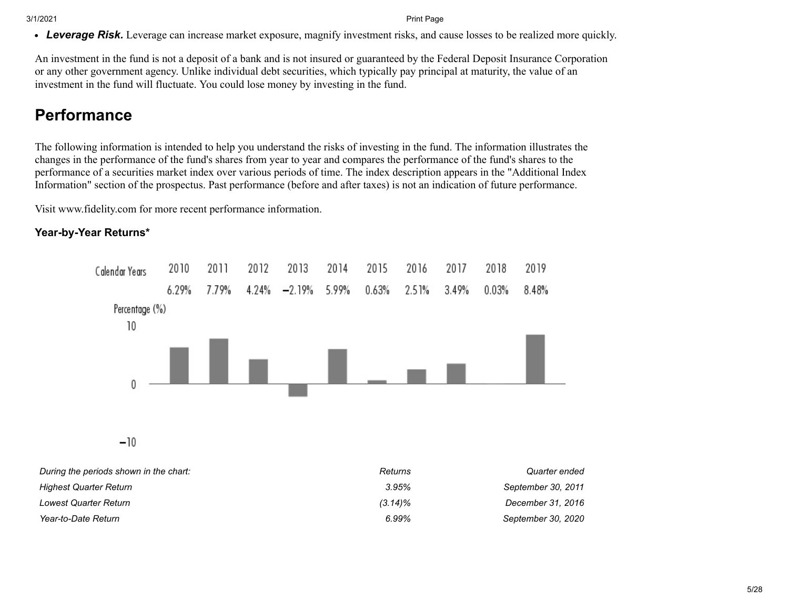*Leverage Risk.* Leverage can increase market exposure, magnify investment risks, and cause losses to be realized more quickly.

An investment in the fund is not a deposit of a bank and is not insured or guaranteed by the Federal Deposit Insurance Corporation or any other government agency. Unlike individual debt securities, which typically pay principal at maturity, the value of an investment in the fund will fluctuate. You could lose money by investing in the fund.

# **Performance**

The following information is intended to help you understand the risks of investing in the fund. The information illustrates the changes in the performance of the fund's shares from year to year and compares the performance of the fund's shares to the performance of a securities market index over various periods of time. The index description appears in the "Additional Index Information" section of the prospectus. Past performance (before and after taxes) is not an indication of future performance.

Visit www.fidelity.com for more recent performance information.

#### **Year-by-Year Returns\***



 $-10$ 

| During the periods shown in the chart: | Returns    | Quarter ended      |
|----------------------------------------|------------|--------------------|
| Highest Quarter Return                 | 3.95%      | September 30, 2011 |
| Lowest Quarter Return                  | $(3.14)\%$ | December 31, 2016  |
| Year-to-Date Return                    | $6.99\%$   | September 30, 2020 |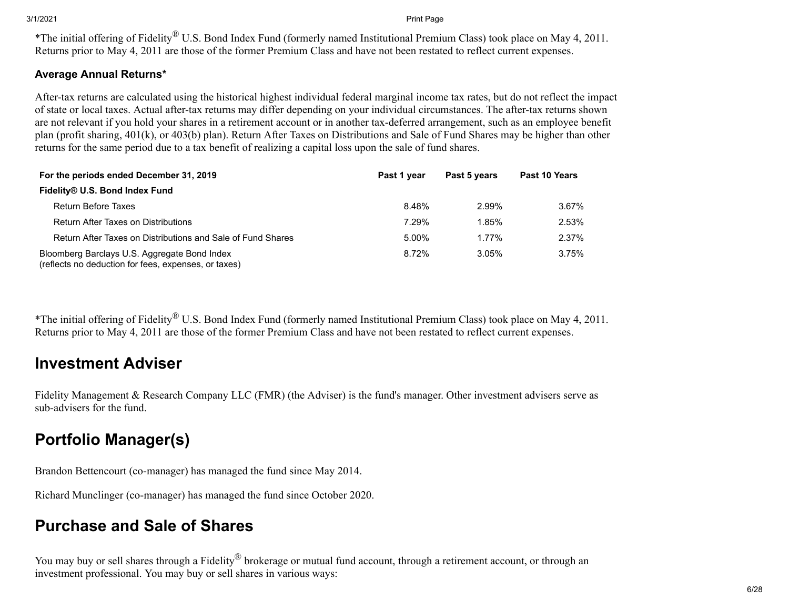\*The initial offering of Fidelity® U.S. Bond Index Fund (formerly named Institutional Premium Class) took place on May 4, 2011. Returns prior to May 4, 2011 are those of the former Premium Class and have not been restated to reflect current expenses.

### **Average Annual Returns\***

After-tax returns are calculated using the historical highest individual federal marginal income tax rates, but do not reflect the impact of state or local taxes. Actual after-tax returns may differ depending on your individual circumstances. The after-tax returns shown are not relevant if you hold your shares in a retirement account or in another tax-deferred arrangement, such as an employee benefit plan (profit sharing, 401(k), or 403(b) plan). Return After Taxes on Distributions and Sale of Fund Shares may be higher than other returns for the same period due to a tax benefit of realizing a capital loss upon the sale of fund shares.

| For the periods ended December 31, 2019                                                              | Past 1 year | Past 5 years | Past 10 Years |  |
|------------------------------------------------------------------------------------------------------|-------------|--------------|---------------|--|
| Fidelity® U.S. Bond Index Fund                                                                       |             |              |               |  |
| <b>Return Before Taxes</b>                                                                           | 8.48%       | 2.99%        | 3.67%         |  |
| <b>Return After Taxes on Distributions</b>                                                           | 7.29%       | 1.85%        | 2.53%         |  |
| Return After Taxes on Distributions and Sale of Fund Shares                                          | 5.00%       | 1.77%        | 2.37%         |  |
| Bloomberg Barclays U.S. Aggregate Bond Index<br>(reflects no deduction for fees, expenses, or taxes) | 8.72%       | $3.05\%$     | 3.75%         |  |

\*The initial offering of Fidelity® U.S. Bond Index Fund (formerly named Institutional Premium Class) took place on May 4, 2011. Returns prior to May 4, 2011 are those of the former Premium Class and have not been restated to reflect current expenses.

# **Investment Adviser**

Fidelity Management & Research Company LLC (FMR) (the Adviser) is the fund's manager. Other investment advisers serve as sub-advisers for the fund.

# **Portfolio Manager(s)**

Brandon Bettencourt (co-manager) has managed the fund since May 2014.

Richard Munclinger (co-manager) has managed the fund since October 2020.

# **Purchase and Sale of Shares**

You may buy or sell shares through a Fidelity<sup>®</sup> brokerage or mutual fund account, through a retirement account, or through an investment professional. You may buy or sell shares in various ways: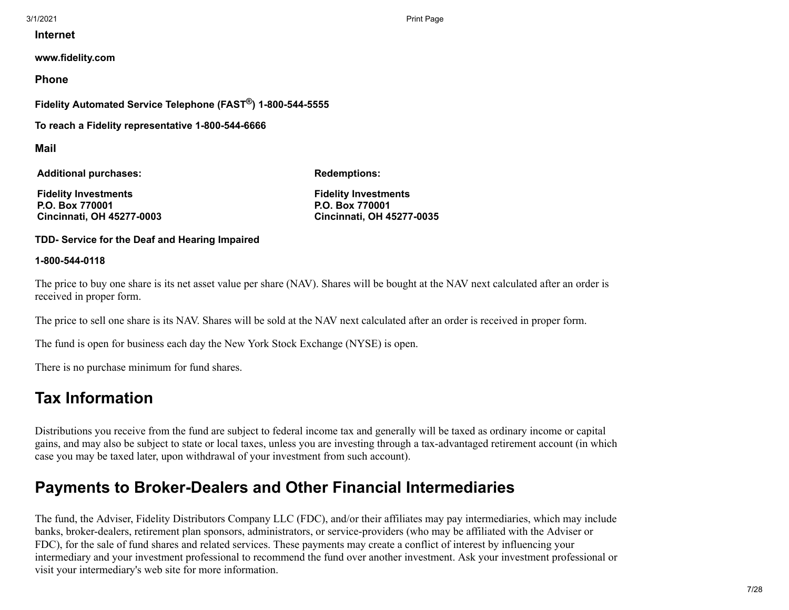**Internet**

**www.fidelity.com**

**Phone**

**Fidelity Automated Service Telephone (FAST®) 1-800-544-5555**

**To reach a Fidelity representative 1-800-544-6666**

**Mail**

**Additional purchases:**

**Redemptions:**

**Fidelity Investments P.O. Box 770001 Cincinnati, OH 45277-0003** **Fidelity Investments P.O. Box 770001 Cincinnati, OH 45277-0035**

**TDD- Service for the Deaf and Hearing Impaired**

#### **1-800-544-0118**

The price to buy one share is its net asset value per share (NAV). Shares will be bought at the NAV next calculated after an order is received in proper form.

The price to sell one share is its NAV. Shares will be sold at the NAV next calculated after an order is received in proper form.

The fund is open for business each day the New York Stock Exchange (NYSE) is open.

There is no purchase minimum for fund shares.

# **Tax Information**

Distributions you receive from the fund are subject to federal income tax and generally will be taxed as ordinary income or capital gains, and may also be subject to state or local taxes, unless you are investing through a tax-advantaged retirement account (in which case you may be taxed later, upon withdrawal of your investment from such account).

# **Payments to Broker-Dealers and Other Financial Intermediaries**

The fund, the Adviser, Fidelity Distributors Company LLC (FDC), and/or their affiliates may pay intermediaries, which may include banks, broker-dealers, retirement plan sponsors, administrators, or service-providers (who may be affiliated with the Adviser or FDC), for the sale of fund shares and related services. These payments may create a conflict of interest by influencing your intermediary and your investment professional to recommend the fund over another investment. Ask your investment professional or visit your intermediary's web site for more information.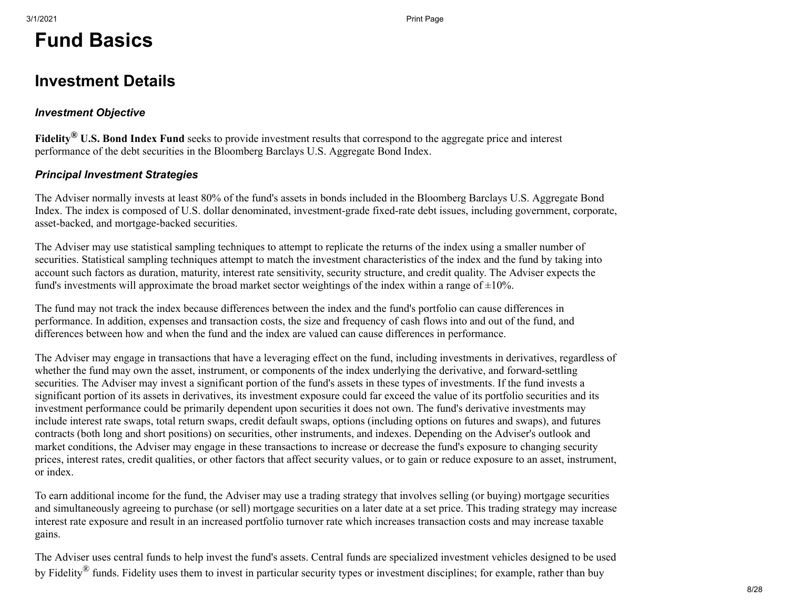# **Fund Basics**

# <span id="page-7-0"></span>**Investment Details**

### *Investment Objective*

**Fidelity® U.S. Bond Index Fund** seeks to provide investment results that correspond to the aggregate price and interest performance of the debt securities in the Bloomberg Barclays U.S. Aggregate Bond Index.

### *Principal Investment Strategies*

The Adviser normally invests at least 80% of the fund's assets in bonds included in the Bloomberg Barclays U.S. Aggregate Bond Index. The index is composed of U.S. dollar denominated, investment-grade fixed-rate debt issues, including government, corporate, asset-backed, and mortgage-backed securities.

The Adviser may use statistical sampling techniques to attempt to replicate the returns of the index using a smaller number of securities. Statistical sampling techniques attempt to match the investment characteristics of the index and the fund by taking into account such factors as duration, maturity, interest rate sensitivity, security structure, and credit quality. The Adviser expects the fund's investments will approximate the broad market sector weightings of the index within a range of  $\pm 10\%$ .

The fund may not track the index because differences between the index and the fund's portfolio can cause differences in performance. In addition, expenses and transaction costs, the size and frequency of cash flows into and out of the fund, and differences between how and when the fund and the index are valued can cause differences in performance.

The Adviser may engage in transactions that have a leveraging effect on the fund, including investments in derivatives, regardless of whether the fund may own the asset, instrument, or components of the index underlying the derivative, and forward-settling securities. The Adviser may invest a significant portion of the fund's assets in these types of investments. If the fund invests a significant portion of its assets in derivatives, its investment exposure could far exceed the value of its portfolio securities and its investment performance could be primarily dependent upon securities it does not own. The fund's derivative investments may include interest rate swaps, total return swaps, credit default swaps, options (including options on futures and swaps), and futures contracts (both long and short positions) on securities, other instruments, and indexes. Depending on the Adviser's outlook and market conditions, the Adviser may engage in these transactions to increase or decrease the fund's exposure to changing security prices, interest rates, credit qualities, or other factors that affect security values, or to gain or reduce exposure to an asset, instrument, or index.

To earn additional income for the fund, the Adviser may use a trading strategy that involves selling (or buying) mortgage securities and simultaneously agreeing to purchase (or sell) mortgage securities on a later date at a set price. This trading strategy may increase interest rate exposure and result in an increased portfolio turnover rate which increases transaction costs and may increase taxable gains.

The Adviser uses central funds to help invest the fund's assets. Central funds are specialized investment vehicles designed to be used by Fidelity<sup>®</sup> funds. Fidelity uses them to invest in particular security types or investment disciplines; for example, rather than buy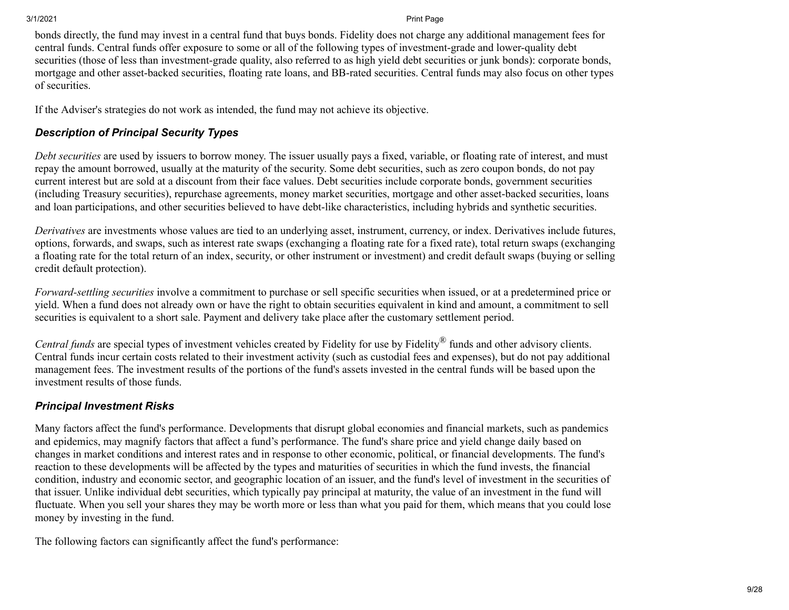bonds directly, the fund may invest in a central fund that buys bonds. Fidelity does not charge any additional management fees for central funds. Central funds offer exposure to some or all of the following types of investment-grade and lower-quality debt securities (those of less than investment-grade quality, also referred to as high yield debt securities or junk bonds): corporate bonds, mortgage and other asset-backed securities, floating rate loans, and BB-rated securities. Central funds may also focus on other types of securities.

If the Adviser's strategies do not work as intended, the fund may not achieve its objective.

### *Description of Principal Security Types*

*Debt securities* are used by issuers to borrow money. The issuer usually pays a fixed, variable, or floating rate of interest, and must repay the amount borrowed, usually at the maturity of the security. Some debt securities, such as zero coupon bonds, do not pay current interest but are sold at a discount from their face values. Debt securities include corporate bonds, government securities (including Treasury securities), repurchase agreements, money market securities, mortgage and other asset-backed securities, loans and loan participations, and other securities believed to have debt-like characteristics, including hybrids and synthetic securities.

*Derivatives* are investments whose values are tied to an underlying asset, instrument, currency, or index. Derivatives include futures, options, forwards, and swaps, such as interest rate swaps (exchanging a floating rate for a fixed rate), total return swaps (exchanging a floating rate for the total return of an index, security, or other instrument or investment) and credit default swaps (buying or selling credit default protection).

*Forward-settling securities* involve a commitment to purchase or sell specific securities when issued, or at a predetermined price or yield. When a fund does not already own or have the right to obtain securities equivalent in kind and amount, a commitment to sell securities is equivalent to a short sale. Payment and delivery take place after the customary settlement period.

*Central funds* are special types of investment vehicles created by Fidelity for use by Fidelity® funds and other advisory clients. Central funds incur certain costs related to their investment activity (such as custodial fees and expenses), but do not pay additional management fees. The investment results of the portions of the fund's assets invested in the central funds will be based upon the investment results of those funds.

### *Principal Investment Risks*

Many factors affect the fund's performance. Developments that disrupt global economies and financial markets, such as pandemics and epidemics, may magnify factors that affect a fund's performance. The fund's share price and yield change daily based on changes in market conditions and interest rates and in response to other economic, political, or financial developments. The fund's reaction to these developments will be affected by the types and maturities of securities in which the fund invests, the financial condition, industry and economic sector, and geographic location of an issuer, and the fund's level of investment in the securities of that issuer. Unlike individual debt securities, which typically pay principal at maturity, the value of an investment in the fund will fluctuate. When you sell your shares they may be worth more or less than what you paid for them, which means that you could lose money by investing in the fund.

The following factors can significantly affect the fund's performance: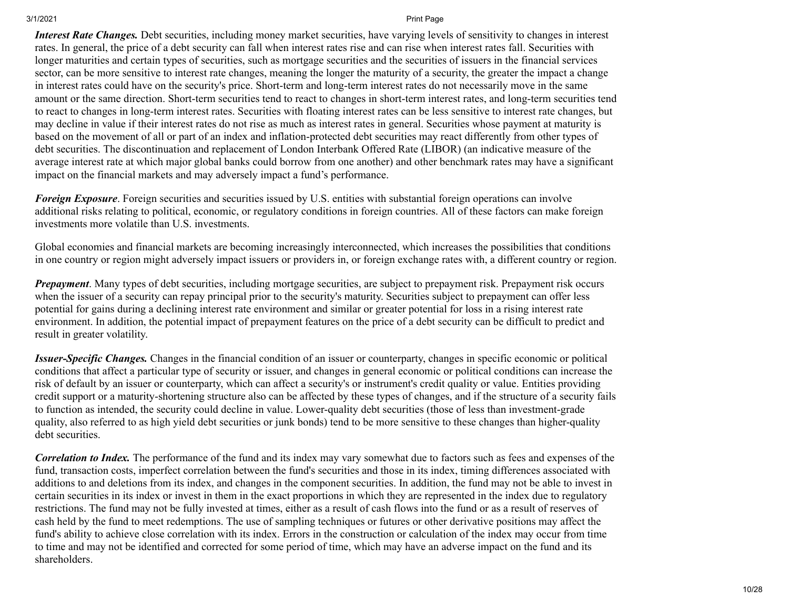*Interest Rate Changes.* Debt securities, including money market securities, have varying levels of sensitivity to changes in interest rates. In general, the price of a debt security can fall when interest rates rise and can rise when interest rates fall. Securities with longer maturities and certain types of securities, such as mortgage securities and the securities of issuers in the financial services sector, can be more sensitive to interest rate changes, meaning the longer the maturity of a security, the greater the impact a change in interest rates could have on the security's price. Short-term and long-term interest rates do not necessarily move in the same amount or the same direction. Short-term securities tend to react to changes in short-term interest rates, and long-term securities tend to react to changes in long-term interest rates. Securities with floating interest rates can be less sensitive to interest rate changes, but may decline in value if their interest rates do not rise as much as interest rates in general. Securities whose payment at maturity is based on the movement of all or part of an index and inflation-protected debt securities may react differently from other types of debt securities. The discontinuation and replacement of London Interbank Offered Rate (LIBOR) (an indicative measure of the average interest rate at which major global banks could borrow from one another) and other benchmark rates may have a significant impact on the financial markets and may adversely impact a fund's performance.

*Foreign Exposure*. Foreign securities and securities issued by U.S. entities with substantial foreign operations can involve additional risks relating to political, economic, or regulatory conditions in foreign countries. All of these factors can make foreign investments more volatile than U.S. investments.

Global economies and financial markets are becoming increasingly interconnected, which increases the possibilities that conditions in one country or region might adversely impact issuers or providers in, or foreign exchange rates with, a different country or region.

*Prepayment*. Many types of debt securities, including mortgage securities, are subject to prepayment risk. Prepayment risk occurs when the issuer of a security can repay principal prior to the security's maturity. Securities subject to prepayment can offer less potential for gains during a declining interest rate environment and similar or greater potential for loss in a rising interest rate environment. In addition, the potential impact of prepayment features on the price of a debt security can be difficult to predict and result in greater volatility.

*Issuer-Specific Changes.* Changes in the financial condition of an issuer or counterparty, changes in specific economic or political conditions that affect a particular type of security or issuer, and changes in general economic or political conditions can increase the risk of default by an issuer or counterparty, which can affect a security's or instrument's credit quality or value. Entities providing credit support or a maturity-shortening structure also can be affected by these types of changes, and if the structure of a security fails to function as intended, the security could decline in value. Lower-quality debt securities (those of less than investment-grade quality, also referred to as high yield debt securities or junk bonds) tend to be more sensitive to these changes than higher-quality debt securities.

*Correlation to Index.* The performance of the fund and its index may vary somewhat due to factors such as fees and expenses of the fund, transaction costs, imperfect correlation between the fund's securities and those in its index, timing differences associated with additions to and deletions from its index, and changes in the component securities. In addition, the fund may not be able to invest in certain securities in its index or invest in them in the exact proportions in which they are represented in the index due to regulatory restrictions. The fund may not be fully invested at times, either as a result of cash flows into the fund or as a result of reserves of cash held by the fund to meet redemptions. The use of sampling techniques or futures or other derivative positions may affect the fund's ability to achieve close correlation with its index. Errors in the construction or calculation of the index may occur from time to time and may not be identified and corrected for some period of time, which may have an adverse impact on the fund and its shareholders.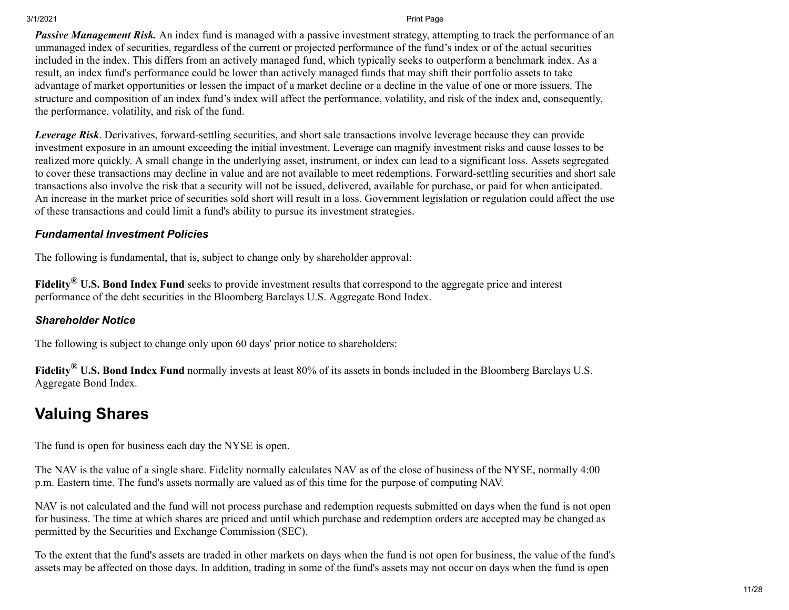*Passive Management Risk.* An index fund is managed with a passive investment strategy, attempting to track the performance of an unmanaged index of securities, regardless of the current or projected performance of the fund's index or of the actual securities included in the index. This differs from an actively managed fund, which typically seeks to outperform a benchmark index. As a result, an index fund's performance could be lower than actively managed funds that may shift their portfolio assets to take advantage of market opportunities or lessen the impact of a market decline or a decline in the value of one or more issuers. The structure and composition of an index fund's index will affect the performance, volatility, and risk of the index and, consequently, the performance, volatility, and risk of the fund.

*Leverage Risk*. Derivatives, forward-settling securities, and short sale transactions involve leverage because they can provide investment exposure in an amount exceeding the initial investment. Leverage can magnify investment risks and cause losses to be realized more quickly. A small change in the underlying asset, instrument, or index can lead to a significant loss. Assets segregated to cover these transactions may decline in value and are not available to meet redemptions. Forward-settling securities and short sale transactions also involve the risk that a security will not be issued, delivered, available for purchase, or paid for when anticipated. An increase in the market price of securities sold short will result in a loss. Government legislation or regulation could affect the use of these transactions and could limit a fund's ability to pursue its investment strategies.

### *Fundamental Investment Policies*

The following is fundamental, that is, subject to change only by shareholder approval:

**Fidelity® U.S. Bond Index Fund** seeks to provide investment results that correspond to the aggregate price and interest performance of the debt securities in the Bloomberg Barclays U.S. Aggregate Bond Index.

### *Shareholder Notice*

The following is subject to change only upon 60 days' prior notice to shareholders:

**Fidelity® U.S. Bond Index Fund** normally invests at least 80% of its assets in bonds included in the Bloomberg Barclays U.S. Aggregate Bond Index.

# <span id="page-10-0"></span>**Valuing Shares**

The fund is open for business each day the NYSE is open.

The NAV is the value of a single share. Fidelity normally calculates NAV as of the close of business of the NYSE, normally 4:00 p.m. Eastern time. The fund's assets normally are valued as of this time for the purpose of computing NAV.

NAV is not calculated and the fund will not process purchase and redemption requests submitted on days when the fund is not open for business. The time at which shares are priced and until which purchase and redemption orders are accepted may be changed as permitted by the Securities and Exchange Commission (SEC).

To the extent that the fund's assets are traded in other markets on days when the fund is not open for business, the value of the fund's assets may be affected on those days. In addition, trading in some of the fund's assets may not occur on days when the fund is open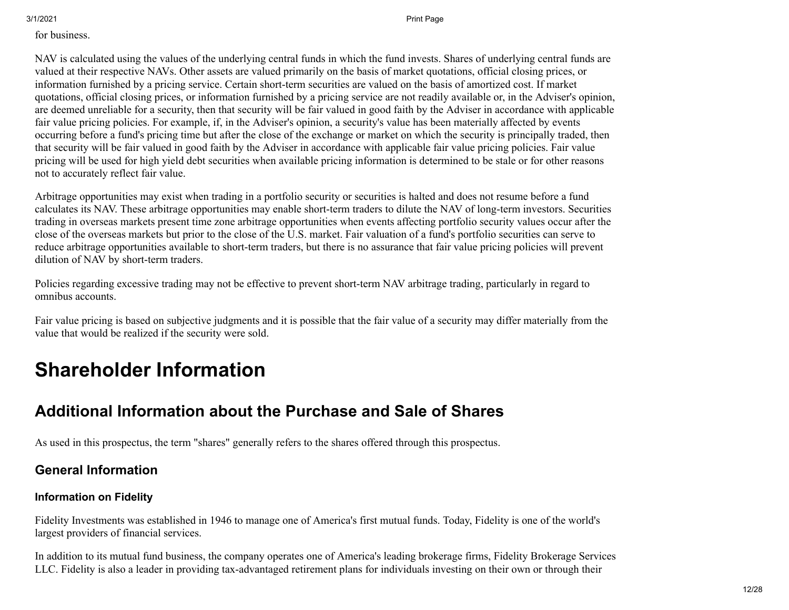#### for business.

NAV is calculated using the values of the underlying central funds in which the fund invests. Shares of underlying central funds are valued at their respective NAVs. Other assets are valued primarily on the basis of market quotations, official closing prices, or information furnished by a pricing service. Certain short-term securities are valued on the basis of amortized cost. If market quotations, official closing prices, or information furnished by a pricing service are not readily available or, in the Adviser's opinion, are deemed unreliable for a security, then that security will be fair valued in good faith by the Adviser in accordance with applicable fair value pricing policies. For example, if, in the Adviser's opinion, a security's value has been materially affected by events occurring before a fund's pricing time but after the close of the exchange or market on which the security is principally traded, then that security will be fair valued in good faith by the Adviser in accordance with applicable fair value pricing policies. Fair value pricing will be used for high yield debt securities when available pricing information is determined to be stale or for other reasons not to accurately reflect fair value.

Arbitrage opportunities may exist when trading in a portfolio security or securities is halted and does not resume before a fund calculates its NAV. These arbitrage opportunities may enable short-term traders to dilute the NAV of long-term investors. Securities trading in overseas markets present time zone arbitrage opportunities when events affecting portfolio security values occur after the close of the overseas markets but prior to the close of the U.S. market. Fair valuation of a fund's portfolio securities can serve to reduce arbitrage opportunities available to short-term traders, but there is no assurance that fair value pricing policies will prevent dilution of NAV by short-term traders.

Policies regarding excessive trading may not be effective to prevent short-term NAV arbitrage trading, particularly in regard to omnibus accounts.

Fair value pricing is based on subjective judgments and it is possible that the fair value of a security may differ materially from the value that would be realized if the security were sold.

# **Shareholder Information**

# <span id="page-11-0"></span>**Additional Information about the Purchase and Sale of Shares**

As used in this prospectus, the term "shares" generally refers to the shares offered through this prospectus.

# **General Information**

### **Information on Fidelity**

Fidelity Investments was established in 1946 to manage one of America's first mutual funds. Today, Fidelity is one of the world's largest providers of financial services.

In addition to its mutual fund business, the company operates one of America's leading brokerage firms, Fidelity Brokerage Services LLC. Fidelity is also a leader in providing tax-advantaged retirement plans for individuals investing on their own or through their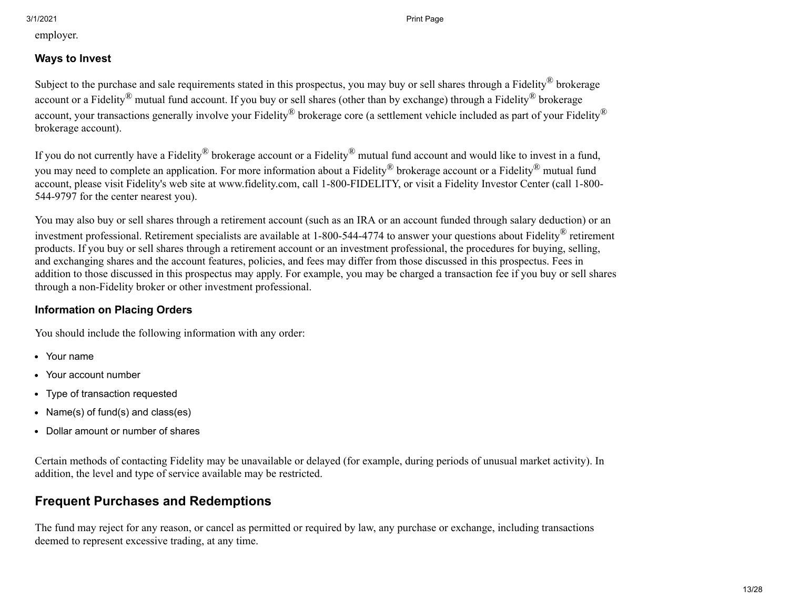employer.

### **Ways to Invest**

Subject to the purchase and sale requirements stated in this prospectus, you may buy or sell shares through a Fidelity® brokerage account or a Fidelity<sup>®</sup> mutual fund account. If you buy or sell shares (other than by exchange) through a Fidelity<sup>®</sup> brokerage account, your transactions generally involve your Fidelity<sup>®</sup> brokerage core (a settlement vehicle included as part of your Fidelity<sup>®</sup> brokerage account).

If you do not currently have a Fidelity<sup>®</sup> brokerage account or a Fidelity<sup>®</sup> mutual fund account and would like to invest in a fund, you may need to complete an application. For more information about a Fidelity® brokerage account or a Fidelity® mutual fund account, please visit Fidelity's web site at www.fidelity.com, call 1-800-FIDELITY, or visit a Fidelity Investor Center (call 1-800- 544-9797 for the center nearest you).

You may also buy or sell shares through a retirement account (such as an IRA or an account funded through salary deduction) or an investment professional. Retirement specialists are available at 1-800-544-4774 to answer your questions about Fidelity® retirement products. If you buy or sell shares through a retirement account or an investment professional, the procedures for buying, selling, and exchanging shares and the account features, policies, and fees may differ from those discussed in this prospectus. Fees in addition to those discussed in this prospectus may apply. For example, you may be charged a transaction fee if you buy or sell shares through a non-Fidelity broker or other investment professional.

### **Information on Placing Orders**

You should include the following information with any order:

- Your name
- Your account number
- Type of transaction requested  $\bullet$
- Name(s) of fund(s) and class(es)
- Dollar amount or number of shares  $\bullet$

Certain methods of contacting Fidelity may be unavailable or delayed (for example, during periods of unusual market activity). In addition, the level and type of service available may be restricted.

## **Frequent Purchases and Redemptions**

The fund may reject for any reason, or cancel as permitted or required by law, any purchase or exchange, including transactions deemed to represent excessive trading, at any time.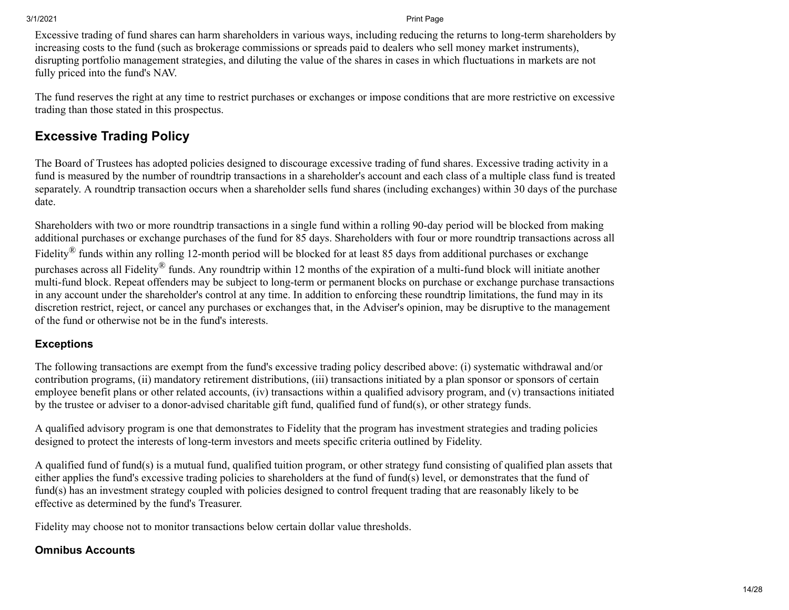Excessive trading of fund shares can harm shareholders in various ways, including reducing the returns to long-term shareholders by increasing costs to the fund (such as brokerage commissions or spreads paid to dealers who sell money market instruments), disrupting portfolio management strategies, and diluting the value of the shares in cases in which fluctuations in markets are not fully priced into the fund's NAV.

The fund reserves the right at any time to restrict purchases or exchanges or impose conditions that are more restrictive on excessive trading than those stated in this prospectus.

## **Excessive Trading Policy**

The Board of Trustees has adopted policies designed to discourage excessive trading of fund shares. Excessive trading activity in a fund is measured by the number of roundtrip transactions in a shareholder's account and each class of a multiple class fund is treated separately. A roundtrip transaction occurs when a shareholder sells fund shares (including exchanges) within 30 days of the purchase date.

Shareholders with two or more roundtrip transactions in a single fund within a rolling 90-day period will be blocked from making additional purchases or exchange purchases of the fund for 85 days. Shareholders with four or more roundtrip transactions across all Fidelity<sup>®</sup> funds within any rolling 12-month period will be blocked for at least 85 days from additional purchases or exchange purchases across all Fidelity® funds. Any roundtrip within 12 months of the expiration of a multi-fund block will initiate another multi-fund block. Repeat offenders may be subject to long-term or permanent blocks on purchase or exchange purchase transactions in any account under the shareholder's control at any time. In addition to enforcing these roundtrip limitations, the fund may in its discretion restrict, reject, or cancel any purchases or exchanges that, in the Adviser's opinion, may be disruptive to the management of the fund or otherwise not be in the fund's interests.

### **Exceptions**

The following transactions are exempt from the fund's excessive trading policy described above: (i) systematic withdrawal and/or contribution programs, (ii) mandatory retirement distributions, (iii) transactions initiated by a plan sponsor or sponsors of certain employee benefit plans or other related accounts, (iv) transactions within a qualified advisory program, and (v) transactions initiated by the trustee or adviser to a donor-advised charitable gift fund, qualified fund of fund(s), or other strategy funds.

A qualified advisory program is one that demonstrates to Fidelity that the program has investment strategies and trading policies designed to protect the interests of long-term investors and meets specific criteria outlined by Fidelity.

A qualified fund of fund(s) is a mutual fund, qualified tuition program, or other strategy fund consisting of qualified plan assets that either applies the fund's excessive trading policies to shareholders at the fund of fund(s) level, or demonstrates that the fund of fund(s) has an investment strategy coupled with policies designed to control frequent trading that are reasonably likely to be effective as determined by the fund's Treasurer.

Fidelity may choose not to monitor transactions below certain dollar value thresholds.

### **Omnibus Accounts**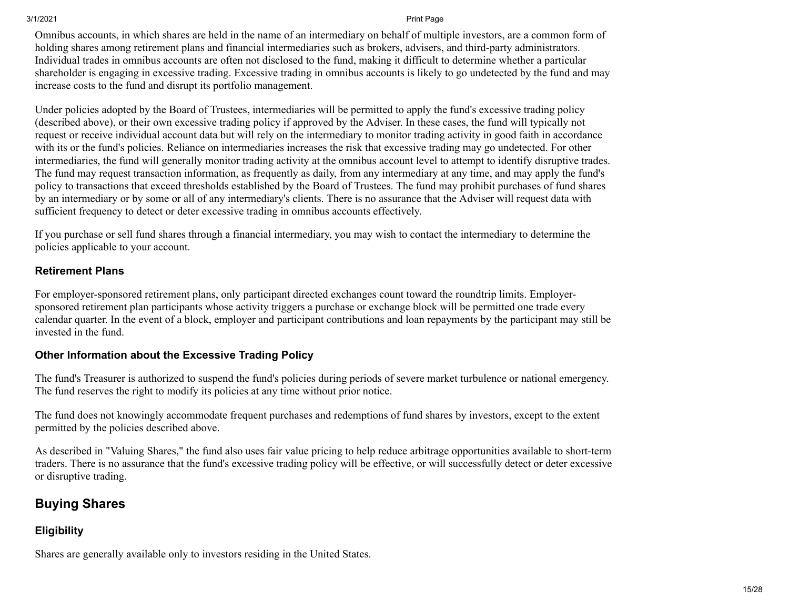Omnibus accounts, in which shares are held in the name of an intermediary on behalf of multiple investors, are a common form of holding shares among retirement plans and financial intermediaries such as brokers, advisers, and third-party administrators. Individual trades in omnibus accounts are often not disclosed to the fund, making it difficult to determine whether a particular shareholder is engaging in excessive trading. Excessive trading in omnibus accounts is likely to go undetected by the fund and may increase costs to the fund and disrupt its portfolio management.

Under policies adopted by the Board of Trustees, intermediaries will be permitted to apply the fund's excessive trading policy (described above), or their own excessive trading policy if approved by the Adviser. In these cases, the fund will typically not request or receive individual account data but will rely on the intermediary to monitor trading activity in good faith in accordance with its or the fund's policies. Reliance on intermediaries increases the risk that excessive trading may go undetected. For other intermediaries, the fund will generally monitor trading activity at the omnibus account level to attempt to identify disruptive trades. The fund may request transaction information, as frequently as daily, from any intermediary at any time, and may apply the fund's policy to transactions that exceed thresholds established by the Board of Trustees. The fund may prohibit purchases of fund shares by an intermediary or by some or all of any intermediary's clients. There is no assurance that the Adviser will request data with sufficient frequency to detect or deter excessive trading in omnibus accounts effectively.

If you purchase or sell fund shares through a financial intermediary, you may wish to contact the intermediary to determine the policies applicable to your account.

#### **Retirement Plans**

For employer-sponsored retirement plans, only participant directed exchanges count toward the roundtrip limits. Employersponsored retirement plan participants whose activity triggers a purchase or exchange block will be permitted one trade every calendar quarter. In the event of a block, employer and participant contributions and loan repayments by the participant may still be invested in the fund.

### **Other Information about the Excessive Trading Policy**

The fund's Treasurer is authorized to suspend the fund's policies during periods of severe market turbulence or national emergency. The fund reserves the right to modify its policies at any time without prior notice.

The fund does not knowingly accommodate frequent purchases and redemptions of fund shares by investors, except to the extent permitted by the policies described above.

As described in "Valuing Shares," the fund also uses fair value pricing to help reduce arbitrage opportunities available to short-term traders. There is no assurance that the fund's excessive trading policy will be effective, or will successfully detect or deter excessive or disruptive trading.

## **Buying Shares**

### **Eligibility**

Shares are generally available only to investors residing in the United States.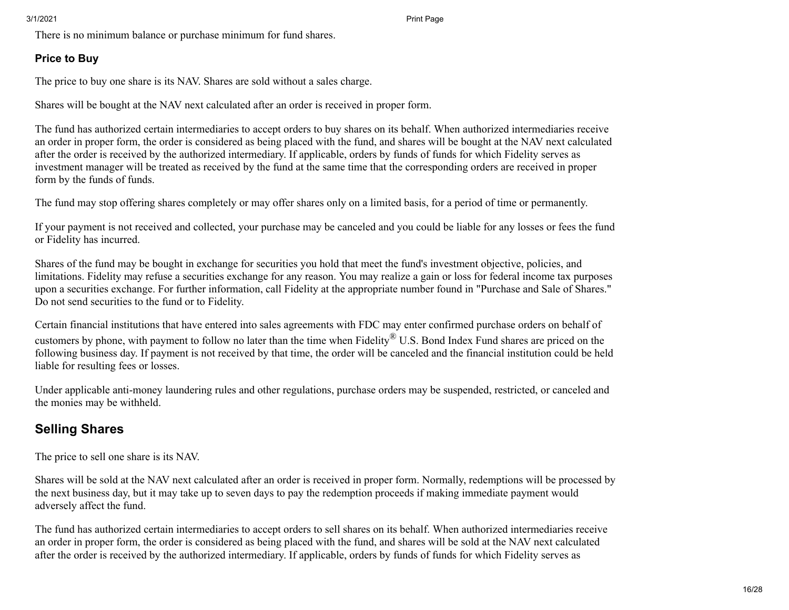There is no minimum balance or purchase minimum for fund shares.

### **Price to Buy**

The price to buy one share is its NAV. Shares are sold without a sales charge.

Shares will be bought at the NAV next calculated after an order is received in proper form.

The fund has authorized certain intermediaries to accept orders to buy shares on its behalf. When authorized intermediaries receive an order in proper form, the order is considered as being placed with the fund, and shares will be bought at the NAV next calculated after the order is received by the authorized intermediary. If applicable, orders by funds of funds for which Fidelity serves as investment manager will be treated as received by the fund at the same time that the corresponding orders are received in proper form by the funds of funds.

The fund may stop offering shares completely or may offer shares only on a limited basis, for a period of time or permanently.

If your payment is not received and collected, your purchase may be canceled and you could be liable for any losses or fees the fund or Fidelity has incurred.

Shares of the fund may be bought in exchange for securities you hold that meet the fund's investment objective, policies, and limitations. Fidelity may refuse a securities exchange for any reason. You may realize a gain or loss for federal income tax purposes upon a securities exchange. For further information, call Fidelity at the appropriate number found in "Purchase and Sale of Shares." Do not send securities to the fund or to Fidelity.

Certain financial institutions that have entered into sales agreements with FDC may enter confirmed purchase orders on behalf of customers by phone, with payment to follow no later than the time when Fidelity® U.S. Bond Index Fund shares are priced on the following business day. If payment is not received by that time, the order will be canceled and the financial institution could be held liable for resulting fees or losses.

Under applicable anti-money laundering rules and other regulations, purchase orders may be suspended, restricted, or canceled and the monies may be withheld.

# **Selling Shares**

The price to sell one share is its NAV.

Shares will be sold at the NAV next calculated after an order is received in proper form. Normally, redemptions will be processed by the next business day, but it may take up to seven days to pay the redemption proceeds if making immediate payment would adversely affect the fund.

The fund has authorized certain intermediaries to accept orders to sell shares on its behalf. When authorized intermediaries receive an order in proper form, the order is considered as being placed with the fund, and shares will be sold at the NAV next calculated after the order is received by the authorized intermediary. If applicable, orders by funds of funds for which Fidelity serves as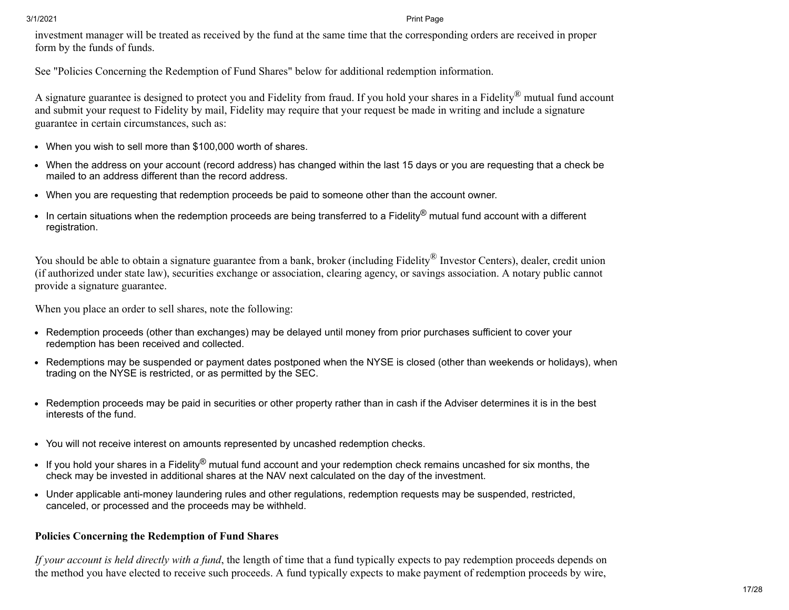investment manager will be treated as received by the fund at the same time that the corresponding orders are received in proper form by the funds of funds.

See "Policies Concerning the Redemption of Fund Shares" below for additional redemption information.

A signature guarantee is designed to protect you and Fidelity from fraud. If you hold your shares in a Fidelity<sup>®</sup> mutual fund account and submit your request to Fidelity by mail, Fidelity may require that your request be made in writing and include a signature guarantee in certain circumstances, such as:

- When you wish to sell more than \$100,000 worth of shares.
- When the address on your account (record address) has changed within the last 15 days or you are requesting that a check be mailed to an address different than the record address.
- When you are requesting that redemption proceeds be paid to someone other than the account owner.
- In certain situations when the redemption proceeds are being transferred to a Fidelity<sup>®</sup> mutual fund account with a different registration.

You should be able to obtain a signature guarantee from a bank, broker (including Fidelity® Investor Centers), dealer, credit union (if authorized under state law), securities exchange or association, clearing agency, or savings association. A notary public cannot provide a signature guarantee.

When you place an order to sell shares, note the following:

- Redemption proceeds (other than exchanges) may be delayed until money from prior purchases sufficient to cover your redemption has been received and collected.
- Redemptions may be suspended or payment dates postponed when the NYSE is closed (other than weekends or holidays), when trading on the NYSE is restricted, or as permitted by the SEC.
- Redemption proceeds may be paid in securities or other property rather than in cash if the Adviser determines it is in the best interests of the fund.
- You will not receive interest on amounts represented by uncashed redemption checks.
- If you hold your shares in a Fidelity<sup>®</sup> mutual fund account and your redemption check remains uncashed for six months, the check may be invested in additional shares at the NAV next calculated on the day of the investment.
- Under applicable anti-money laundering rules and other regulations, redemption requests may be suspended, restricted, canceled, or processed and the proceeds may be withheld.

### **Policies Concerning the Redemption of Fund Shares**

*If your account is held directly with a fund*, the length of time that a fund typically expects to pay redemption proceeds depends on the method you have elected to receive such proceeds. A fund typically expects to make payment of redemption proceeds by wire,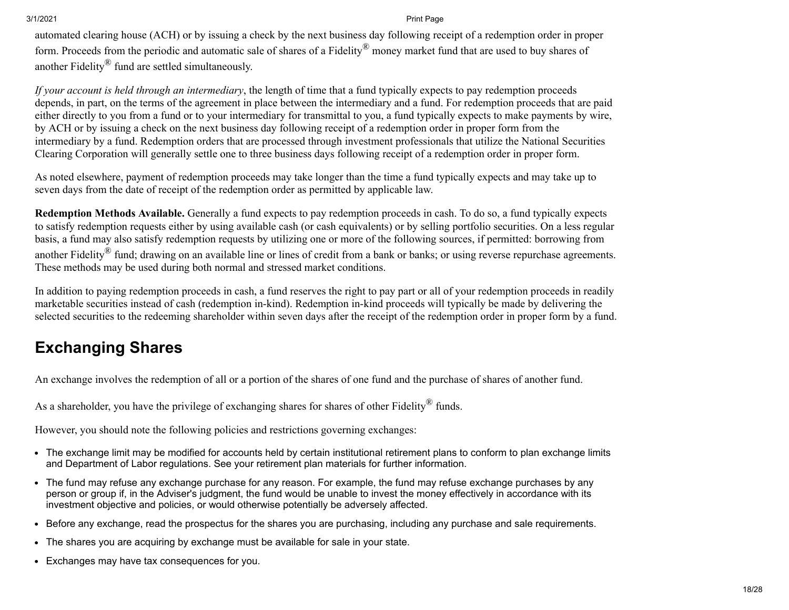automated clearing house (ACH) or by issuing a check by the next business day following receipt of a redemption order in proper form. Proceeds from the periodic and automatic sale of shares of a Fidelity® money market fund that are used to buy shares of another Fidelity® fund are settled simultaneously.

*If your account is held through an intermediary*, the length of time that a fund typically expects to pay redemption proceeds depends, in part, on the terms of the agreement in place between the intermediary and a fund. For redemption proceeds that are paid either directly to you from a fund or to your intermediary for transmittal to you, a fund typically expects to make payments by wire, by ACH or by issuing a check on the next business day following receipt of a redemption order in proper form from the intermediary by a fund. Redemption orders that are processed through investment professionals that utilize the National Securities Clearing Corporation will generally settle one to three business days following receipt of a redemption order in proper form.

As noted elsewhere, payment of redemption proceeds may take longer than the time a fund typically expects and may take up to seven days from the date of receipt of the redemption order as permitted by applicable law.

**Redemption Methods Available.** Generally a fund expects to pay redemption proceeds in cash. To do so, a fund typically expects to satisfy redemption requests either by using available cash (or cash equivalents) or by selling portfolio securities. On a less regular basis, a fund may also satisfy redemption requests by utilizing one or more of the following sources, if permitted: borrowing from another Fidelity<sup>®</sup> fund; drawing on an available line or lines of credit from a bank or banks; or using reverse repurchase agreements. These methods may be used during both normal and stressed market conditions.

In addition to paying redemption proceeds in cash, a fund reserves the right to pay part or all of your redemption proceeds in readily marketable securities instead of cash (redemption in-kind). Redemption in-kind proceeds will typically be made by delivering the selected securities to the redeeming shareholder within seven days after the receipt of the redemption order in proper form by a fund.

# <span id="page-17-0"></span>**Exchanging Shares**

An exchange involves the redemption of all or a portion of the shares of one fund and the purchase of shares of another fund.

As a shareholder, you have the privilege of exchanging shares for shares of other Fidelity<sup>®</sup> funds.

However, you should note the following policies and restrictions governing exchanges:

- The exchange limit may be modified for accounts held by certain institutional retirement plans to conform to plan exchange limits and Department of Labor regulations. See your retirement plan materials for further information.
- The fund may refuse any exchange purchase for any reason. For example, the fund may refuse exchange purchases by any person or group if, in the Adviser's judgment, the fund would be unable to invest the money effectively in accordance with its investment objective and policies, or would otherwise potentially be adversely affected.
- Before any exchange, read the prospectus for the shares you are purchasing, including any purchase and sale requirements.
- The shares you are acquiring by exchange must be available for sale in your state.
- Exchanges may have tax consequences for you.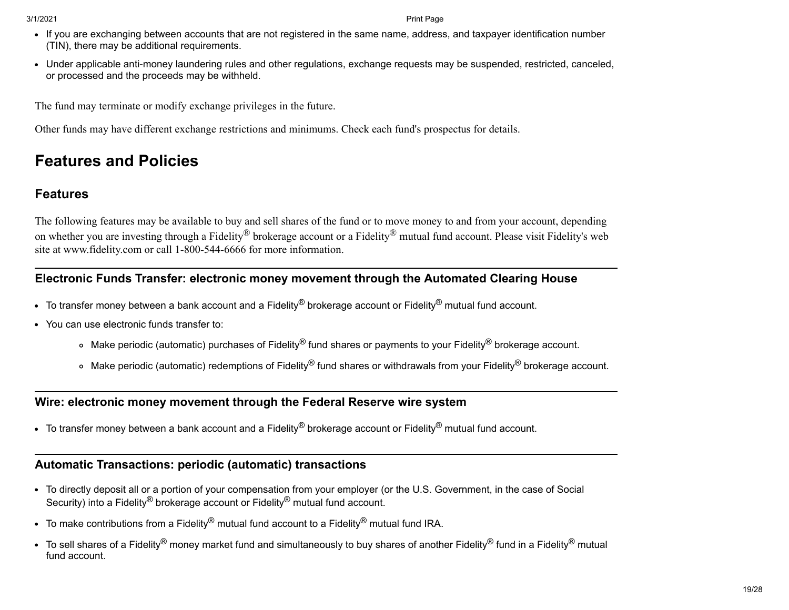- If you are exchanging between accounts that are not registered in the same name, address, and taxpayer identification number (TIN), there may be additional requirements.
- Under applicable anti-money laundering rules and other regulations, exchange requests may be suspended, restricted, canceled, or processed and the proceeds may be withheld.

The fund may terminate or modify exchange privileges in the future.

Other funds may have different exchange restrictions and minimums. Check each fund's prospectus for details.

# <span id="page-18-0"></span>**Features and Policies**

# **Features**

The following features may be available to buy and sell shares of the fund or to move money to and from your account, depending on whether you are investing through a Fidelity® brokerage account or a Fidelity® mutual fund account. Please visit Fidelity's web site at www.fidelity.com or call 1-800-544-6666 for more information.

### **Electronic Funds Transfer: electronic money movement through the Automated Clearing House**

- $\bullet$  To transfer money between a bank account and a Fidelity<sup>®</sup> brokerage account or Fidelity<sup>®</sup> mutual fund account.
- You can use electronic funds transfer to:
	- Make periodic (automatic) purchases of Fidelity® fund shares or payments to your Fidelity® brokerage account.
	- Make periodic (automatic) redemptions of Fidelity® fund shares or withdrawals from your Fidelity® brokerage account.

### **Wire: electronic money movement through the Federal Reserve wire system**

To transfer money between a bank account and a Fidelity<sup>®</sup> brokerage account or Fidelity<sup>®</sup> mutual fund account.

# **Automatic Transactions: periodic (automatic) transactions**

- To directly deposit all or a portion of your compensation from your employer (or the U.S. Government, in the case of Social Security) into a Fidelity<sup>®</sup> brokerage account or Fidelity<sup>®</sup> mutual fund account.
- To make contributions from a Fidelity® mutual fund account to a Fidelity® mutual fund IRA.
- To sell shares of a Fidelity<sup>®</sup> money market fund and simultaneously to buy shares of another Fidelity<sup>®</sup> fund in a Fidelity<sup>®</sup> mutual fund account.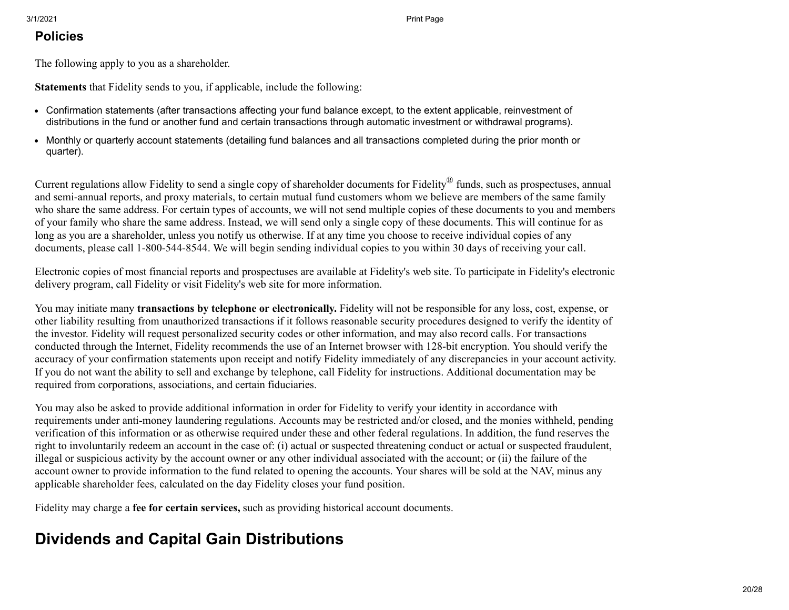### **Policies**

The following apply to you as a shareholder.

**Statements** that Fidelity sends to you, if applicable, include the following:

- Confirmation statements (after transactions affecting your fund balance except, to the extent applicable, reinvestment of distributions in the fund or another fund and certain transactions through automatic investment or withdrawal programs).
- Monthly or quarterly account statements (detailing fund balances and all transactions completed during the prior month or quarter).

Current regulations allow Fidelity to send a single copy of shareholder documents for Fidelity<sup>®</sup> funds, such as prospectuses, annual and semi-annual reports, and proxy materials, to certain mutual fund customers whom we believe are members of the same family who share the same address. For certain types of accounts, we will not send multiple copies of these documents to you and members of your family who share the same address. Instead, we will send only a single copy of these documents. This will continue for as long as you are a shareholder, unless you notify us otherwise. If at any time you choose to receive individual copies of any documents, please call 1-800-544-8544. We will begin sending individual copies to you within 30 days of receiving your call.

Electronic copies of most financial reports and prospectuses are available at Fidelity's web site. To participate in Fidelity's electronic delivery program, call Fidelity or visit Fidelity's web site for more information.

You may initiate many **transactions by telephone or electronically.** Fidelity will not be responsible for any loss, cost, expense, or other liability resulting from unauthorized transactions if it follows reasonable security procedures designed to verify the identity of the investor. Fidelity will request personalized security codes or other information, and may also record calls. For transactions conducted through the Internet, Fidelity recommends the use of an Internet browser with 128-bit encryption. You should verify the accuracy of your confirmation statements upon receipt and notify Fidelity immediately of any discrepancies in your account activity. If you do not want the ability to sell and exchange by telephone, call Fidelity for instructions. Additional documentation may be required from corporations, associations, and certain fiduciaries.

You may also be asked to provide additional information in order for Fidelity to verify your identity in accordance with requirements under anti-money laundering regulations. Accounts may be restricted and/or closed, and the monies withheld, pending verification of this information or as otherwise required under these and other federal regulations. In addition, the fund reserves the right to involuntarily redeem an account in the case of: (i) actual or suspected threatening conduct or actual or suspected fraudulent, illegal or suspicious activity by the account owner or any other individual associated with the account; or (ii) the failure of the account owner to provide information to the fund related to opening the accounts. Your shares will be sold at the NAV, minus any applicable shareholder fees, calculated on the day Fidelity closes your fund position.

Fidelity may charge a **fee for certain services,** such as providing historical account documents.

# <span id="page-19-0"></span>**Dividends and Capital Gain Distributions**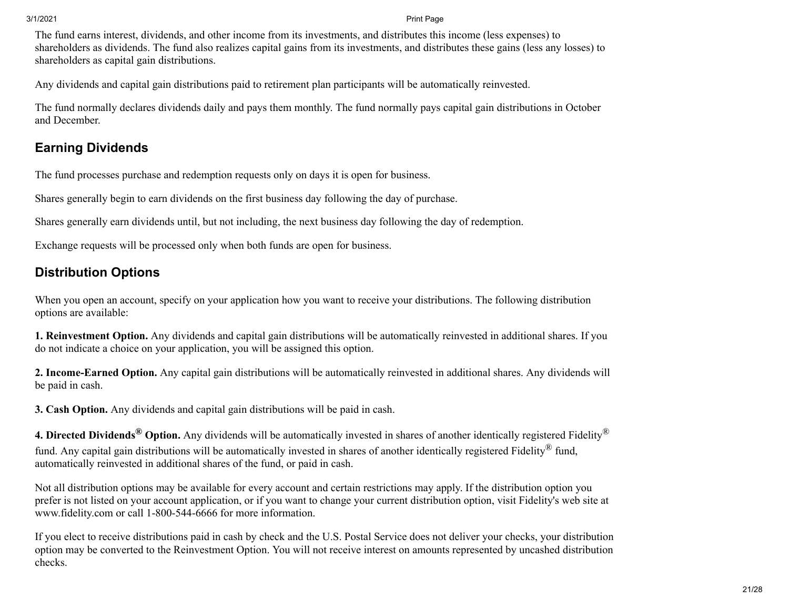The fund earns interest, dividends, and other income from its investments, and distributes this income (less expenses) to shareholders as dividends. The fund also realizes capital gains from its investments, and distributes these gains (less any losses) to shareholders as capital gain distributions.

Any dividends and capital gain distributions paid to retirement plan participants will be automatically reinvested.

The fund normally declares dividends daily and pays them monthly. The fund normally pays capital gain distributions in October and December.

## **Earning Dividends**

The fund processes purchase and redemption requests only on days it is open for business.

Shares generally begin to earn dividends on the first business day following the day of purchase.

Shares generally earn dividends until, but not including, the next business day following the day of redemption.

Exchange requests will be processed only when both funds are open for business.

# **Distribution Options**

When you open an account, specify on your application how you want to receive your distributions. The following distribution options are available:

**1. Reinvestment Option.** Any dividends and capital gain distributions will be automatically reinvested in additional shares. If you do not indicate a choice on your application, you will be assigned this option.

**2. Income-Earned Option.** Any capital gain distributions will be automatically reinvested in additional shares. Any dividends will be paid in cash.

**3. Cash Option.** Any dividends and capital gain distributions will be paid in cash.

**4. Directed Dividends® Option.** Any dividends will be automatically invested in shares of another identically registered Fidelity® fund. Any capital gain distributions will be automatically invested in shares of another identically registered Fidelity<sup>®</sup> fund, automatically reinvested in additional shares of the fund, or paid in cash.

Not all distribution options may be available for every account and certain restrictions may apply. If the distribution option you prefer is not listed on your account application, or if you want to change your current distribution option, visit Fidelity's web site at www.fidelity.com or call 1-800-544-6666 for more information.

If you elect to receive distributions paid in cash by check and the U.S. Postal Service does not deliver your checks, your distribution option may be converted to the Reinvestment Option. You will not receive interest on amounts represented by uncashed distribution checks.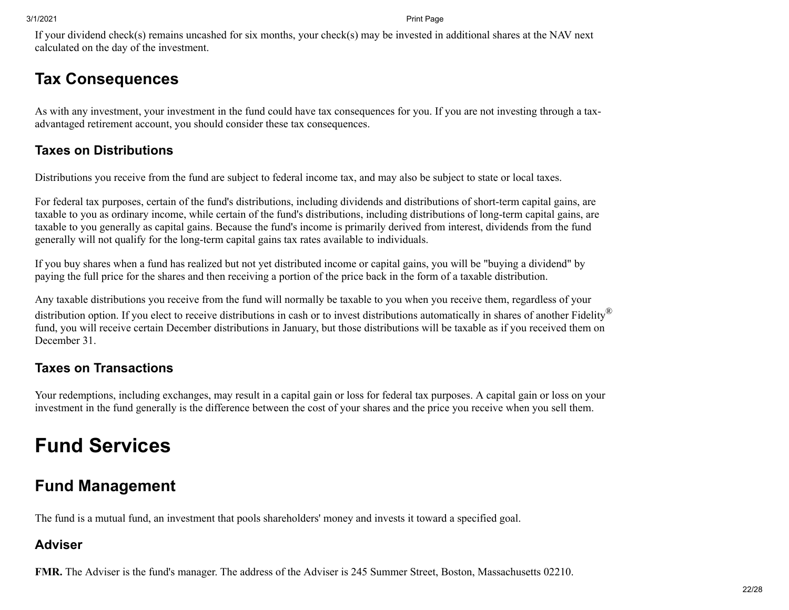If your dividend check(s) remains uncashed for six months, your check(s) may be invested in additional shares at the NAV next calculated on the day of the investment.

# <span id="page-21-0"></span>**Tax Consequences**

As with any investment, your investment in the fund could have tax consequences for you. If you are not investing through a taxadvantaged retirement account, you should consider these tax consequences.

# **Taxes on Distributions**

Distributions you receive from the fund are subject to federal income tax, and may also be subject to state or local taxes.

For federal tax purposes, certain of the fund's distributions, including dividends and distributions of short-term capital gains, are taxable to you as ordinary income, while certain of the fund's distributions, including distributions of long-term capital gains, are taxable to you generally as capital gains. Because the fund's income is primarily derived from interest, dividends from the fund generally will not qualify for the long-term capital gains tax rates available to individuals.

If you buy shares when a fund has realized but not yet distributed income or capital gains, you will be "buying a dividend" by paying the full price for the shares and then receiving a portion of the price back in the form of a taxable distribution.

Any taxable distributions you receive from the fund will normally be taxable to you when you receive them, regardless of your distribution option. If you elect to receive distributions in cash or to invest distributions automatically in shares of another Fidelity® fund, you will receive certain December distributions in January, but those distributions will be taxable as if you received them on December 31.

# **Taxes on Transactions**

Your redemptions, including exchanges, may result in a capital gain or loss for federal tax purposes. A capital gain or loss on your investment in the fund generally is the difference between the cost of your shares and the price you receive when you sell them.

# **Fund Services**

# <span id="page-21-1"></span>**Fund Management**

The fund is a mutual fund, an investment that pools shareholders' money and invests it toward a specified goal.

# **Adviser**

**FMR.** The Adviser is the fund's manager. The address of the Adviser is 245 Summer Street, Boston, Massachusetts 02210.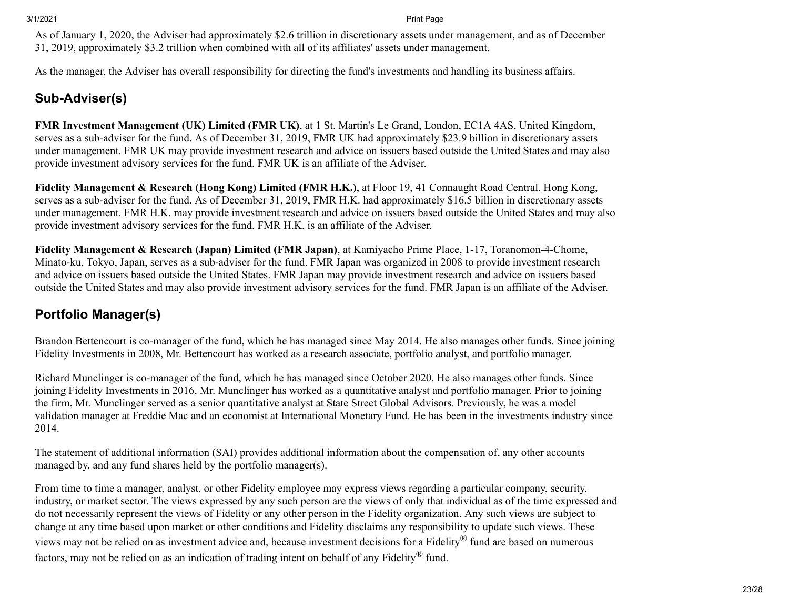As of January 1, 2020, the Adviser had approximately \$2.6 trillion in discretionary assets under management, and as of December 31, 2019, approximately \$3.2 trillion when combined with all of its affiliates' assets under management.

As the manager, the Adviser has overall responsibility for directing the fund's investments and handling its business affairs.

# **Sub-Adviser(s)**

**FMR Investment Management (UK) Limited (FMR UK)**, at 1 St. Martin's Le Grand, London, EC1A 4AS, United Kingdom, serves as a sub-adviser for the fund. As of December 31, 2019, FMR UK had approximately \$23.9 billion in discretionary assets under management. FMR UK may provide investment research and advice on issuers based outside the United States and may also provide investment advisory services for the fund. FMR UK is an affiliate of the Adviser.

**Fidelity Management & Research (Hong Kong) Limited (FMR H.K.)**, at Floor 19, 41 Connaught Road Central, Hong Kong, serves as a sub-adviser for the fund. As of December 31, 2019, FMR H.K. had approximately \$16.5 billion in discretionary assets under management. FMR H.K. may provide investment research and advice on issuers based outside the United States and may also provide investment advisory services for the fund. FMR H.K. is an affiliate of the Adviser.

**Fidelity Management & Research (Japan) Limited (FMR Japan)**, at Kamiyacho Prime Place, 1-17, Toranomon-4-Chome, Minato-ku, Tokyo, Japan, serves as a sub-adviser for the fund. FMR Japan was organized in 2008 to provide investment research and advice on issuers based outside the United States. FMR Japan may provide investment research and advice on issuers based outside the United States and may also provide investment advisory services for the fund. FMR Japan is an affiliate of the Adviser.

# **Portfolio Manager(s)**

Brandon Bettencourt is co-manager of the fund, which he has managed since May 2014. He also manages other funds. Since joining Fidelity Investments in 2008, Mr. Bettencourt has worked as a research associate, portfolio analyst, and portfolio manager.

Richard Munclinger is co-manager of the fund, which he has managed since October 2020. He also manages other funds. Since joining Fidelity Investments in 2016, Mr. Munclinger has worked as a quantitative analyst and portfolio manager. Prior to joining the firm, Mr. Munclinger served as a senior quantitative analyst at State Street Global Advisors. Previously, he was a model validation manager at Freddie Mac and an economist at International Monetary Fund. He has been in the investments industry since 2014.

The statement of additional information (SAI) provides additional information about the compensation of, any other accounts managed by, and any fund shares held by the portfolio manager(s).

From time to time a manager, analyst, or other Fidelity employee may express views regarding a particular company, security, industry, or market sector. The views expressed by any such person are the views of only that individual as of the time expressed and do not necessarily represent the views of Fidelity or any other person in the Fidelity organization. Any such views are subject to change at any time based upon market or other conditions and Fidelity disclaims any responsibility to update such views. These views may not be relied on as investment advice and, because investment decisions for a Fidelity® fund are based on numerous factors, may not be relied on as an indication of trading intent on behalf of any Fidelity® fund.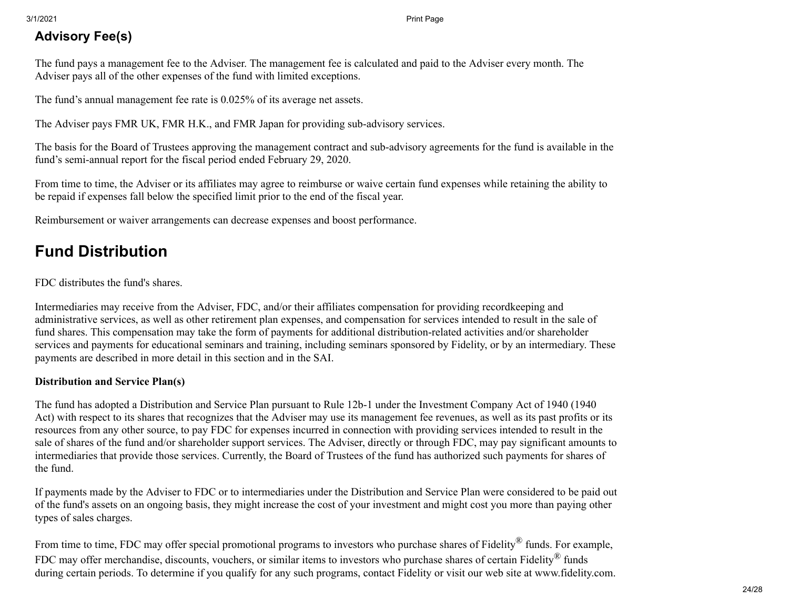# **Advisory Fee(s)**

The fund pays a management fee to the Adviser. The management fee is calculated and paid to the Adviser every month. The Adviser pays all of the other expenses of the fund with limited exceptions.

The fund's annual management fee rate is 0.025% of its average net assets.

The Adviser pays FMR UK, FMR H.K., and FMR Japan for providing sub-advisory services.

The basis for the Board of Trustees approving the management contract and sub-advisory agreements for the fund is available in the fund's semi-annual report for the fiscal period ended February 29, 2020.

From time to time, the Adviser or its affiliates may agree to reimburse or waive certain fund expenses while retaining the ability to be repaid if expenses fall below the specified limit prior to the end of the fiscal year.

Reimbursement or waiver arrangements can decrease expenses and boost performance.

# <span id="page-23-0"></span>**Fund Distribution**

FDC distributes the fund's shares.

Intermediaries may receive from the Adviser, FDC, and/or their affiliates compensation for providing recordkeeping and administrative services, as well as other retirement plan expenses, and compensation for services intended to result in the sale of fund shares. This compensation may take the form of payments for additional distribution-related activities and/or shareholder services and payments for educational seminars and training, including seminars sponsored by Fidelity, or by an intermediary. These payments are described in more detail in this section and in the SAI.

### **Distribution and Service Plan(s)**

The fund has adopted a Distribution and Service Plan pursuant to Rule 12b-1 under the Investment Company Act of 1940 (1940 Act) with respect to its shares that recognizes that the Adviser may use its management fee revenues, as well as its past profits or its resources from any other source, to pay FDC for expenses incurred in connection with providing services intended to result in the sale of shares of the fund and/or shareholder support services. The Adviser, directly or through FDC, may pay significant amounts to intermediaries that provide those services. Currently, the Board of Trustees of the fund has authorized such payments for shares of the fund.

If payments made by the Adviser to FDC or to intermediaries under the Distribution and Service Plan were considered to be paid out of the fund's assets on an ongoing basis, they might increase the cost of your investment and might cost you more than paying other types of sales charges.

From time to time, FDC may offer special promotional programs to investors who purchase shares of Fidelity<sup>®</sup> funds. For example, FDC may offer merchandise, discounts, vouchers, or similar items to investors who purchase shares of certain Fidelity® funds during certain periods. To determine if you qualify for any such programs, contact Fidelity or visit our web site at www.fidelity.com.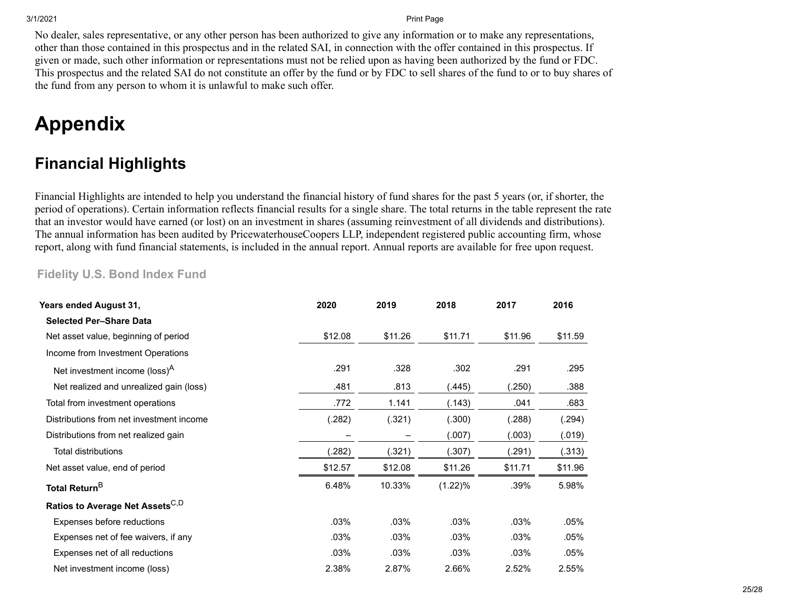No dealer, sales representative, or any other person has been authorized to give any information or to make any representations, other than those contained in this prospectus and in the related SAI, in connection with the offer contained in this prospectus. If given or made, such other information or representations must not be relied upon as having been authorized by the fund or FDC. This prospectus and the related SAI do not constitute an offer by the fund or by FDC to sell shares of the fund to or to buy shares of the fund from any person to whom it is unlawful to make such offer.

# **Appendix**

# <span id="page-24-0"></span>**Financial Highlights**

Financial Highlights are intended to help you understand the financial history of fund shares for the past 5 years (or, if shorter, the period of operations). Certain information reflects financial results for a single share. The total returns in the table represent the rate that an investor would have earned (or lost) on an investment in shares (assuming reinvestment of all dividends and distributions). The annual information has been audited by PricewaterhouseCoopers LLP, independent registered public accounting firm, whose report, along with fund financial statements, is included in the annual report. Annual reports are available for free upon request.

### **Fidelity U.S. Bond Index Fund**

| Years ended August 31,                      | 2020    | 2019    | 2018    | 2017    | 2016    |
|---------------------------------------------|---------|---------|---------|---------|---------|
| <b>Selected Per-Share Data</b>              |         |         |         |         |         |
| Net asset value, beginning of period        | \$12.08 | \$11.26 | \$11.71 | \$11.96 | \$11.59 |
| Income from Investment Operations           |         |         |         |         |         |
| Net investment income (loss) <sup>A</sup>   | .291    | .328    | .302    | .291    | .295    |
| Net realized and unrealized gain (loss)     | .481    | .813    | (445).  | (.250)  | .388    |
| Total from investment operations            | .772    | 1.141   | (.143)  | .041    | .683    |
| Distributions from net investment income    | (.282)  | (.321)  | (.300)  | (.288)  | (.294)  |
| Distributions from net realized gain        |         |         | (.007)  | (.003)  | (.019)  |
| <b>Total distributions</b>                  | (.282)  | (.321)  | (.307)  | (.291)  | (.313)  |
| Net asset value, end of period              | \$12.57 | \$12.08 | \$11.26 | \$11.71 | \$11.96 |
| Total Return <sup>B</sup>                   | 6.48%   | 10.33%  | (1.22)% | .39%    | 5.98%   |
| Ratios to Average Net Assets <sup>C,D</sup> |         |         |         |         |         |
| Expenses before reductions                  | .03%    | .03%    | .03%    | .03%    | .05%    |
| Expenses net of fee waivers, if any         | .03%    | .03%    | .03%    | .03%    | .05%    |
| Expenses net of all reductions              | .03%    | .03%    | .03%    | .03%    | .05%    |
| Net investment income (loss)                | 2.38%   | 2.87%   | 2.66%   | 2.52%   | 2.55%   |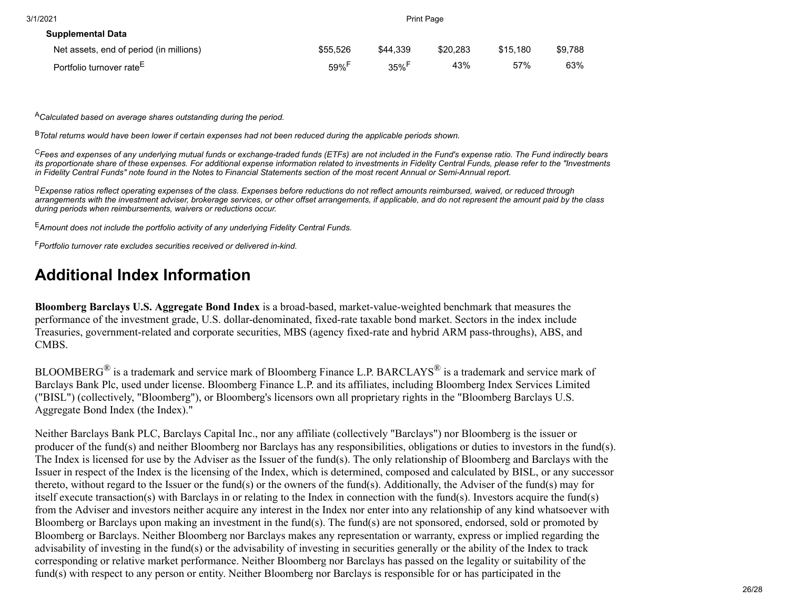| 3/1/2021                                |                     |                     | <b>Print Page</b> |          |         |
|-----------------------------------------|---------------------|---------------------|-------------------|----------|---------|
| <b>Supplemental Data</b>                |                     |                     |                   |          |         |
| Net assets, end of period (in millions) | \$55.526            | \$44.339            | \$20,283          | \$15.180 | \$9.788 |
| Portfolio turnover rate <sup>E</sup>    | $59\%$ <sup>F</sup> | $35\%$ <sup>r</sup> | 43%               | 57%      | 63%     |

<sup>A</sup>*Calculated based on average shares outstanding during the period.*

<sup>B</sup>*Total returns would have been lower if certain expenses had not been reduced during the applicable periods shown.*

<sup>C</sup>*Fees and expenses of any underlying mutual funds or exchange-traded funds (ETFs) are not included in the Fund's expense ratio. The Fund indirectly bears its proportionate share of these expenses. For additional expense information related to investments in Fidelity Central Funds, please refer to the "Investments in Fidelity Central Funds" note found in the Notes to Financial Statements section of the most recent Annual or Semi-Annual report.*

<sup>D</sup>*Expense ratios reflect operating expenses of the class. Expenses before reductions do not reflect amounts reimbursed, waived, or reduced through arrangements with the investment adviser, brokerage services, or other offset arrangements, if applicable, and do not represent the amount paid by the class during periods when reimbursements, waivers or reductions occur.*

<sup>E</sup>*Amount does not include the portfolio activity of any underlying Fidelity Central Funds.*

<sup>F</sup>*Portfolio turnover rate excludes securities received or delivered in-kind.*

# <span id="page-25-0"></span>**Additional Index Information**

**Bloomberg Barclays U.S. Aggregate Bond Index** is a broad-based, market-value-weighted benchmark that measures the performance of the investment grade, U.S. dollar-denominated, fixed-rate taxable bond market. Sectors in the index include Treasuries, government-related and corporate securities, MBS (agency fixed-rate and hybrid ARM pass-throughs), ABS, and CMBS.

BLOOMBERG<sup>®</sup> is a trademark and service mark of Bloomberg Finance L.P. BARCLAYS® is a trademark and service mark of Barclays Bank Plc, used under license. Bloomberg Finance L.P. and its affiliates, including Bloomberg Index Services Limited ("BISL") (collectively, "Bloomberg"), or Bloomberg's licensors own all proprietary rights in the "Bloomberg Barclays U.S. Aggregate Bond Index (the Index)."

Neither Barclays Bank PLC, Barclays Capital Inc., nor any affiliate (collectively "Barclays") nor Bloomberg is the issuer or producer of the fund(s) and neither Bloomberg nor Barclays has any responsibilities, obligations or duties to investors in the fund(s). The Index is licensed for use by the Adviser as the Issuer of the fund(s). The only relationship of Bloomberg and Barclays with the Issuer in respect of the Index is the licensing of the Index, which is determined, composed and calculated by BISL, or any successor thereto, without regard to the Issuer or the fund(s) or the owners of the fund(s). Additionally, the Adviser of the fund(s) may for itself execute transaction(s) with Barclays in or relating to the Index in connection with the fund(s). Investors acquire the fund(s) from the Adviser and investors neither acquire any interest in the Index nor enter into any relationship of any kind whatsoever with Bloomberg or Barclays upon making an investment in the fund(s). The fund(s) are not sponsored, endorsed, sold or promoted by Bloomberg or Barclays. Neither Bloomberg nor Barclays makes any representation or warranty, express or implied regarding the advisability of investing in the fund(s) or the advisability of investing in securities generally or the ability of the Index to track corresponding or relative market performance. Neither Bloomberg nor Barclays has passed on the legality or suitability of the fund(s) with respect to any person or entity. Neither Bloomberg nor Barclays is responsible for or has participated in the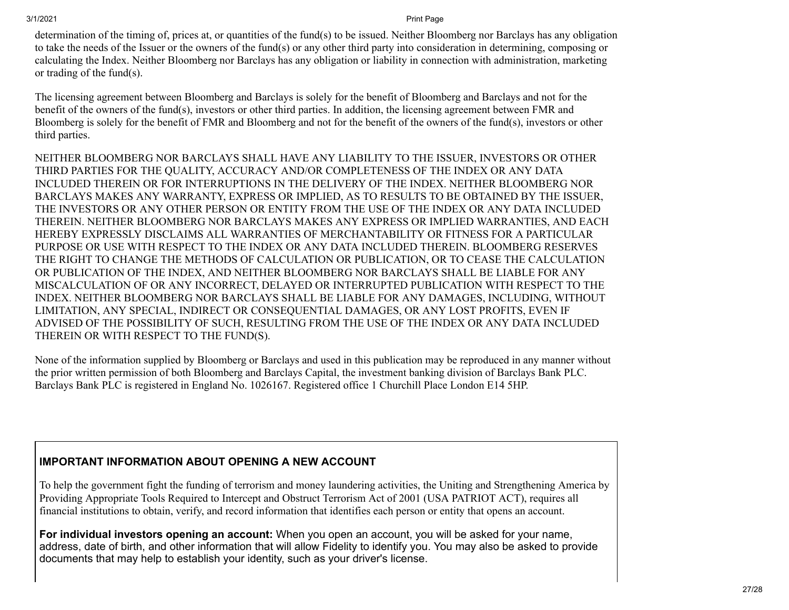determination of the timing of, prices at, or quantities of the fund(s) to be issued. Neither Bloomberg nor Barclays has any obligation to take the needs of the Issuer or the owners of the fund(s) or any other third party into consideration in determining, composing or calculating the Index. Neither Bloomberg nor Barclays has any obligation or liability in connection with administration, marketing or trading of the fund(s).

The licensing agreement between Bloomberg and Barclays is solely for the benefit of Bloomberg and Barclays and not for the benefit of the owners of the fund(s), investors or other third parties. In addition, the licensing agreement between FMR and Bloomberg is solely for the benefit of FMR and Bloomberg and not for the benefit of the owners of the fund(s), investors or other third parties.

NEITHER BLOOMBERG NOR BARCLAYS SHALL HAVE ANY LIABILITY TO THE ISSUER, INVESTORS OR OTHER THIRD PARTIES FOR THE QUALITY, ACCURACY AND/OR COMPLETENESS OF THE INDEX OR ANY DATA INCLUDED THEREIN OR FOR INTERRUPTIONS IN THE DELIVERY OF THE INDEX. NEITHER BLOOMBERG NOR BARCLAYS MAKES ANY WARRANTY, EXPRESS OR IMPLIED, AS TO RESULTS TO BE OBTAINED BY THE ISSUER, THE INVESTORS OR ANY OTHER PERSON OR ENTITY FROM THE USE OF THE INDEX OR ANY DATA INCLUDED THEREIN. NEITHER BLOOMBERG NOR BARCLAYS MAKES ANY EXPRESS OR IMPLIED WARRANTIES, AND EACH HEREBY EXPRESSLY DISCLAIMS ALL WARRANTIES OF MERCHANTABILITY OR FITNESS FOR A PARTICULAR PURPOSE OR USE WITH RESPECT TO THE INDEX OR ANY DATA INCLUDED THEREIN. BLOOMBERG RESERVES THE RIGHT TO CHANGE THE METHODS OF CALCULATION OR PUBLICATION, OR TO CEASE THE CALCULATION OR PUBLICATION OF THE INDEX, AND NEITHER BLOOMBERG NOR BARCLAYS SHALL BE LIABLE FOR ANY MISCALCULATION OF OR ANY INCORRECT, DELAYED OR INTERRUPTED PUBLICATION WITH RESPECT TO THE INDEX. NEITHER BLOOMBERG NOR BARCLAYS SHALL BE LIABLE FOR ANY DAMAGES, INCLUDING, WITHOUT LIMITATION, ANY SPECIAL, INDIRECT OR CONSEQUENTIAL DAMAGES, OR ANY LOST PROFITS, EVEN IF ADVISED OF THE POSSIBILITY OF SUCH, RESULTING FROM THE USE OF THE INDEX OR ANY DATA INCLUDED THEREIN OR WITH RESPECT TO THE FUND(S).

None of the information supplied by Bloomberg or Barclays and used in this publication may be reproduced in any manner without the prior written permission of both Bloomberg and Barclays Capital, the investment banking division of Barclays Bank PLC. Barclays Bank PLC is registered in England No. 1026167. Registered office 1 Churchill Place London E14 5HP.

### **IMPORTANT INFORMATION ABOUT OPENING A NEW ACCOUNT**

To help the government fight the funding of terrorism and money laundering activities, the Uniting and Strengthening America by Providing Appropriate Tools Required to Intercept and Obstruct Terrorism Act of 2001 (USA PATRIOT ACT), requires all financial institutions to obtain, verify, and record information that identifies each person or entity that opens an account.

**For individual investors opening an account:** When you open an account, you will be asked for your name, address, date of birth, and other information that will allow Fidelity to identify you. You may also be asked to provide documents that may help to establish your identity, such as your driver's license.